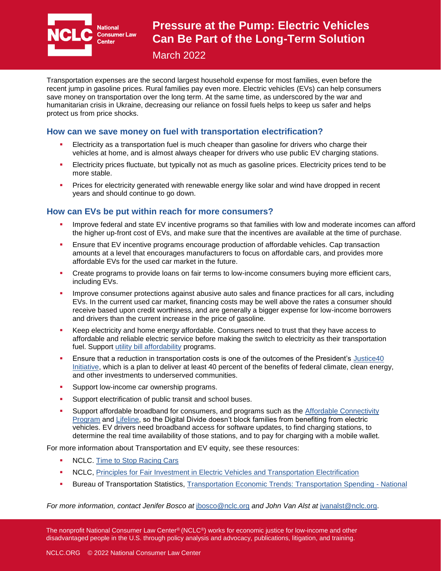

**National Consumer Law** 

# **Pressure at the Pump: Electric Vehicles Can Be Part of the Long-Term Solution**

March 2022

Transportation expenses are the second largest household expense for most families, even before the recent jump in gasoline prices. Rural families pay even more. Electric vehicles (EVs) can help consumers save money on transportation over the long term. At the same time, as underscored by the war and humanitarian crisis in Ukraine, decreasing our reliance on fossil fuels helps to keep us safer and helps protect us from price shocks.

### **How can we save money on fuel with transportation electrification?**

- Electricity as a transportation fuel is much cheaper than gasoline for drivers who charge their vehicles at home, and is almost always cheaper for drivers who use public EV charging stations.
- **Electricity prices fluctuate, but typically not as much as gasoline prices. Electricity prices tend to be** more stable.
- Prices for electricity generated with renewable energy like solar and wind have dropped in recent years and should continue to go down.

### **How can EVs be put within reach for more consumers?**

- Improve federal and state EV incentive programs so that families with low and moderate incomes can afford the higher up-front cost of EVs, and make sure that the incentives are available at the time of purchase.
- **E** Ensure that EV incentive programs encourage production of affordable vehicles. Cap transaction amounts at a level that encourages manufacturers to focus on affordable cars, and provides more affordable EVs for the used car market in the future.
- Create programs to provide loans on fair terms to low-income consumers buying more efficient cars, including EVs.
- Improve consumer protections against abusive auto sales and finance practices for all cars, including EVs. In the current used car market, financing costs may be well above the rates a consumer should receive based upon credit worthiness, and are generally a bigger expense for low-income borrowers and drivers than the current increase in the price of gasoline.
- Keep electricity and home energy affordable. Consumers need to trust that they have access to affordable and reliable electric service before making the switch to electricity as their transportation fuel. Support [utility bill affordability](http://bit.ly/covid-utility-rights) programs.
- Ensure that a reduction in transportation costs is one of the outcomes of the President's Justice40 [Initiative,](https://www.whitehouse.gov/briefing-room/presidential-actions/2021/01/27/executive-order-on-tackling-the-climate-crisis-at-home-and-abroad/) which is a plan to deliver at least 40 percent of the benefits of federal climate, clean energy, and other investments to underserved communities.
- Support low-income car ownership programs.
- Support electrification of public transit and school buses.
- Support affordable broadband for consumers, and programs such as the Affordable Connectivity [Program](https://www.fcc.gov/acp) and [Lifeline,](https://www.lifelinesupport.org/) so the Digital Divide doesn't block families from benefiting from electric vehicles. EV drivers need broadband access for software updates, to find charging stations, to determine the real time availability of those stations, and to pay for charging with a mobile wallet.

For more information about Transportation and EV equity, see these resources:

- NCLC. [Time to Stop Racing Cars](http://bit.ly/2PFsA9b)
- NCLC, [Principles for Fair Investment in Electric Vehicles and Transportation Electrification](https://www.nclc.org/images/pdf/electric_vehicles/nclc-ev-principles-oct18.pdf)
- **E** Bureau of Transportation Statistics, [Transportation Economic Trends: Transportation Spending -](https://data.bts.gov/stories/s/gyuh-ipsr) National

*For more information, contact Jenifer Bosco at* [jbosco@nclc.org](mailto:jbosco@nclc.org) *and John Van Alst at* [jvanalst@nclc.org.](mailto:jvanalst@nclc.org)

The nonprofit National Consumer Law Center® (NCLC®) works for economic justice for low-income and other disadvantaged people in the U.S. through policy analysis and advocacy, publications, litigation, and training.